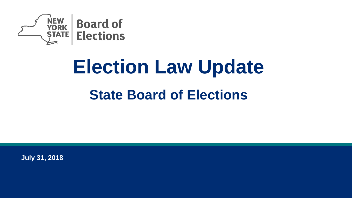

# **Election Law Update State Board of Elections**

**July 31, 2018**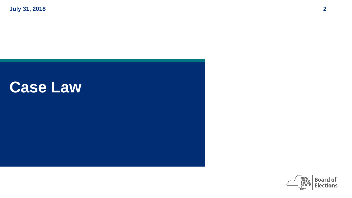# **Case Law**

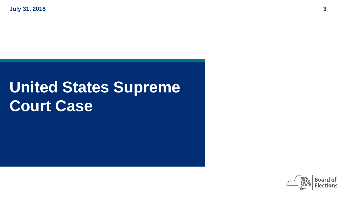# **United States Supreme Court Case**

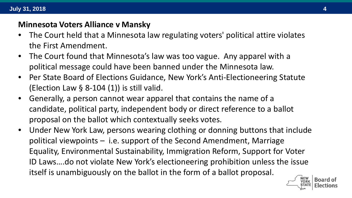#### **Minnesota Voters Alliance v Mansky**

- The Court held that a Minnesota law regulating voters' political attire violates the First Amendment.
- The Court found that Minnesota's law was too vague. Any apparel with a political message could have been banned under the Minnesota law.
- Per State Board of Elections Guidance, New York's Anti-Electioneering Statute (Election Law  $\S$  8-104 (1)) is still valid.
- Generally, a person cannot wear apparel that contains the name of a candidate, political party, independent body or direct reference to a ballot proposal on the ballot which contextually seeks votes.
- Under New York Law, persons wearing clothing or donning buttons that include political viewpoints – i.e. support of the Second Amendment, Marriage Equality, Environmental Sustainability, Immigration Reform, Support for Voter ID Laws….do not violate New York's electioneering prohibition unless the issue itself is unambiguously on the ballot in the form of a ballot proposal.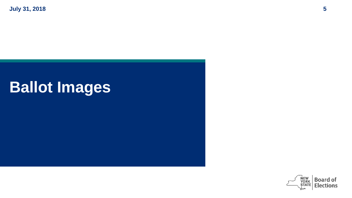# **Ballot Images**

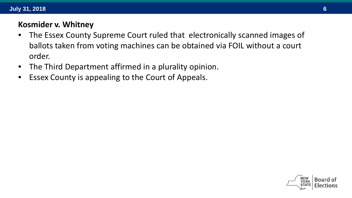#### **Kosmider v. Whitney**

- The Essex County Supreme Court ruled that electronically scanned images of ballots taken from voting machines can be obtained via FOIL without a court order.
- The Third Department affirmed in a plurality opinion.
- Essex County is appealing to the Court of Appeals.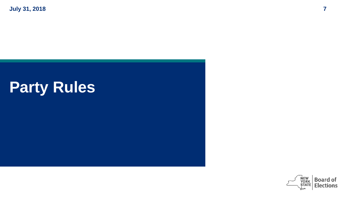# **Party Rules**

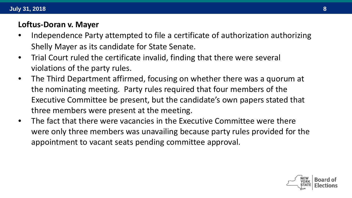#### **Loftus-Doran v. Mayer**

- Independence Party attempted to file a certificate of authorization authorizing Shelly Mayer as its candidate for State Senate.
- Trial Court ruled the certificate invalid, finding that there were several violations of the party rules.
- The Third Department affirmed, focusing on whether there was a quorum at the nominating meeting. Party rules required that four members of the Executive Committee be present, but the candidate's own papers stated that three members were present at the meeting.
- The fact that there were vacancies in the Executive Committee were there were only three members was unavailing because party rules provided for the appointment to vacant seats pending committee approval.

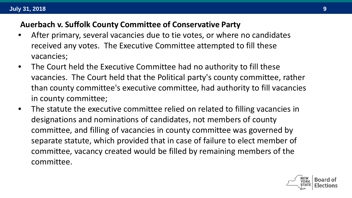#### **Auerbach v. Suffolk County Committee of Conservative Party**

- After primary, several vacancies due to tie votes, or where no candidates received any votes. The Executive Committee attempted to fill these vacancies;
- The Court held the Executive Committee had no authority to fill these vacancies. The Court held that the Political party's county committee, rather than county committee's executive committee, had authority to fill vacancies in county committee;
- The statute the executive committee relied on related to filling vacancies in designations and nominations of candidates, not members of county committee, and filling of vacancies in county committee was governed by separate statute, which provided that in case of failure to elect member of committee, vacancy created would be filled by remaining members of the committee.

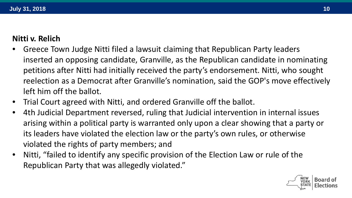#### **Nitti v. Relich**

- Greece Town Judge Nitti filed a lawsuit claiming that Republican Party leaders inserted an opposing candidate, Granville, as the Republican candidate in nominating petitions after Nitti had initially received the party's endorsement. Nitti, who sought reelection as a Democrat after Granville's nomination, said the GOP's move effectively left him off the ballot.
- Trial Court agreed with Nitti, and ordered Granville off the ballot.
- 4th Judicial Department reversed, ruling that Judicial intervention in internal issues arising within a political party is warranted only upon a clear showing that a party or its leaders have violated the election law or the party's own rules, or otherwise violated the rights of party members; and
- Nitti, "failed to identify any specific provision of the Election Law or rule of the Republican Party that was allegedly violated."

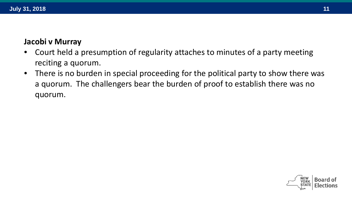#### **Jacobi v Murray**

- Court held a presumption of regularity attaches to minutes of a party meeting reciting a quorum.
- There is no burden in special proceeding for the political party to show there was a quorum. The challengers bear the burden of proof to establish there was no quorum.

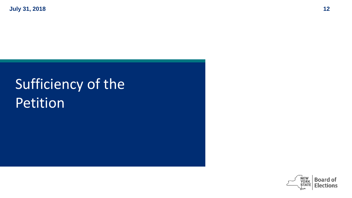# Sufficiency of the Petition

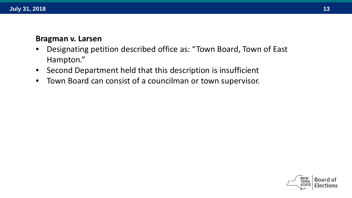#### **Bragman v. Larsen**

- Designating petition described office as: "Town Board, Town of East Hampton."
- Second Department held that this description is insufficient
- Town Board can consist of a councilman or town supervisor.

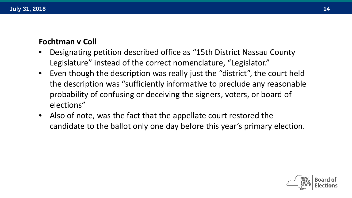#### **Fochtman v Coll**

- Designating petition described office as "15th District Nassau County Legislature" instead of the correct nomenclature, "Legislator."
- Even though the description was really just the "district", the court held the description was "sufficiently informative to preclude any reasonable probability of confusing or deceiving the signers, voters, or board of elections"
- Also of note, was the fact that the appellate court restored the candidate to the ballot only one day before this year's primary election.

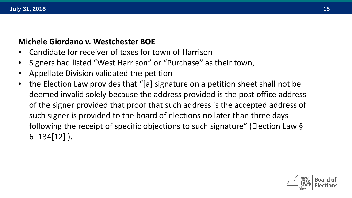#### **Michele Giordano v. Westchester BOE**

- Candidate for receiver of taxes for town of Harrison
- Signers had listed "West Harrison" or "Purchase" as their town,
- Appellate Division validated the petition
- the Election Law provides that "[a] signature on a petition sheet shall not be deemed invalid solely because the address provided is the post office address of the signer provided that proof that such address is the accepted address of such signer is provided to the board of elections no later than three days following the receipt of specific objections to such signature" (Election Law § 6–134[12] ).

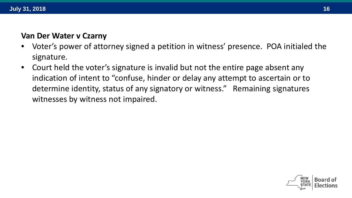#### **Van Der Water v Czarny**

- Voter's power of attorney signed a petition in witness' presence. POA initialed the signature.
- Court held the voter's signature is invalid but not the entire page absent any indication of intent to "confuse, hinder or delay any attempt to ascertain or to determine identity, status of any signatory or witness." Remaining signatures witnesses by witness not impaired.

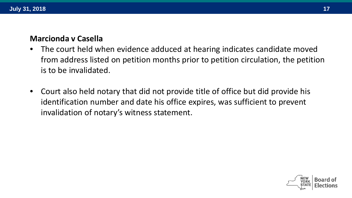#### **Marcionda v Casella**

- The court held when evidence adduced at hearing indicates candidate moved from address listed on petition months prior to petition circulation, the petition is to be invalidated.
- Court also held notary that did not provide title of office but did provide his identification number and date his office expires, was sufficient to prevent invalidation of notary's witness statement.

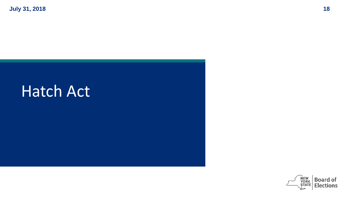# Hatch Act

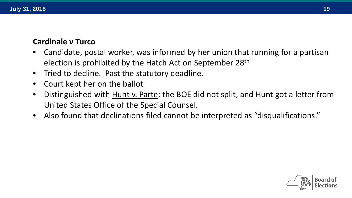#### **Cardinale v Turco**

- Candidate, postal worker, was informed by her union that running for a partisan election is prohibited by the Hatch Act on September 28th
- Tried to decline. Past the statutory deadline.
- Court kept her on the ballot
- Distinguished with Hunt v. Parte; the BOE did not split, and Hunt got a letter from United States Office of the Special Counsel.
- Also found that declinations filed cannot be interpreted as "disqualifications."

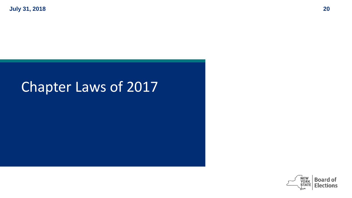# Chapter Laws of 2017

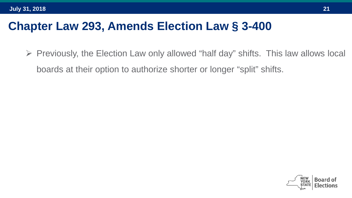## **Chapter Law 293, Amends Election Law § 3-400**

 $\triangleright$  Previously, the Election Law only allowed "half day" shifts. This law allows local boards at their option to authorize shorter or longer "split" shifts.

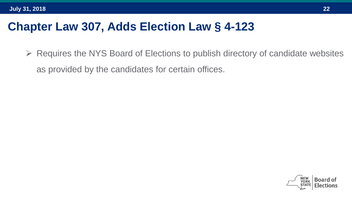# **Chapter Law 307, Adds Election Law § 4-123**

 $\triangleright$  Requires the NYS Board of Elections to publish directory of candidate websites as provided by the candidates for certain offices.

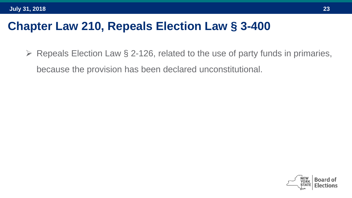## **Chapter Law 210, Repeals Election Law § 3-400**

 $\triangleright$  Repeals Election Law § 2-126, related to the use of party funds in primaries, because the provision has been declared unconstitutional.

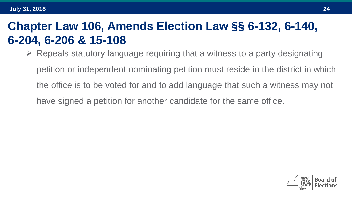## **Chapter Law 106, Amends Election Law §§ 6-132, 6-140, 6-204, 6-206 & 15-108**

 $\triangleright$  Repeals statutory language requiring that a witness to a party designating

petition or independent nominating petition must reside in the district in which the office is to be voted for and to add language that such a witness may not have signed a petition for another candidate for the same office.

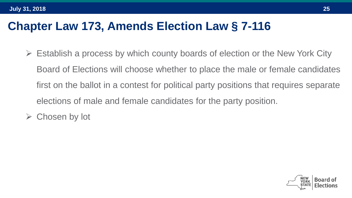## **Chapter Law 173, Amends Election Law § 7-116**

- Establish a process by which county boards of election or the New York City Board of Elections will choose whether to place the male or female candidates first on the ballot in a contest for political party positions that requires separate elections of male and female candidates for the party position.
- $\triangleright$  Chosen by lot

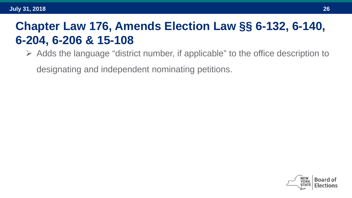# **Chapter Law 176, Amends Election Law §§ 6-132, 6-140, 6-204, 6-206 & 15-108**

 $\triangleright$  Adds the language "district number, if applicable" to the office description to

designating and independent nominating petitions.

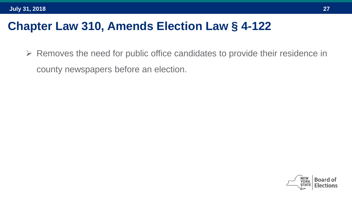## **Chapter Law 310, Amends Election Law § 4-122**

 $\triangleright$  Removes the need for public office candidates to provide their residence in county newspapers before an election.

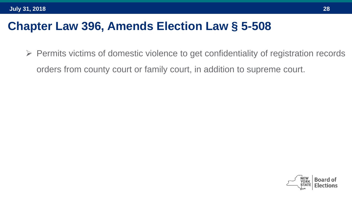### **Chapter Law 396, Amends Election Law § 5-508**

 $\triangleright$  Permits victims of domestic violence to get confidentiality of registration records orders from county court or family court, in addition to supreme court.

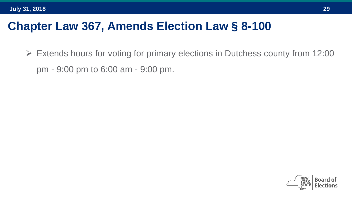## **Chapter Law 367, Amends Election Law § 8-100**

 $\triangleright$  Extends hours for voting for primary elections in Dutchess county from 12:00 pm - 9:00 pm to 6:00 am - 9:00 pm.

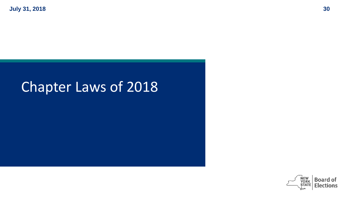# Chapter Laws of 2018

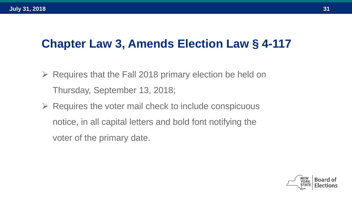# **Chapter Law 3, Amends Election Law § 4-117**

- $\triangleright$  Requires that the Fall 2018 primary election be held on Thursday, September 13, 2018;
- $\triangleright$  Requires the voter mail check to include conspicuous notice, in all capital letters and bold font notifying the voter of the primary date.

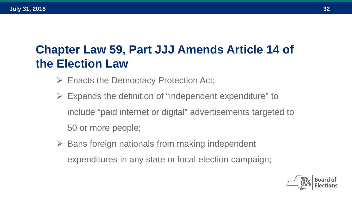# **Chapter Law 59, Part JJJ Amends Article 14 of the Election Law**

- $\triangleright$  Enacts the Democracy Protection Act;
- Expands the definition of "independent expenditure" to include "paid internet or digital" advertisements targeted to 50 or more people;
- Bans foreign nationals from making independent expenditures in any state or local election campaign;

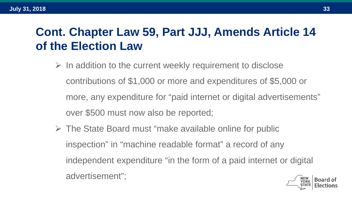# **Cont. Chapter Law 59, Part JJJ, Amends Article 14 of the Election Law**

- $\triangleright$  In addition to the current weekly requirement to disclose contributions of \$1,000 or more and expenditures of \$5,000 or more, any expenditure for "paid internet or digital advertisements" over \$500 must now also be reported;
- $\triangleright$  The State Board must "make available online for public inspection" in "machine readable format" a record of any independent expenditure "in the form of a paid internet or digital advertisement";